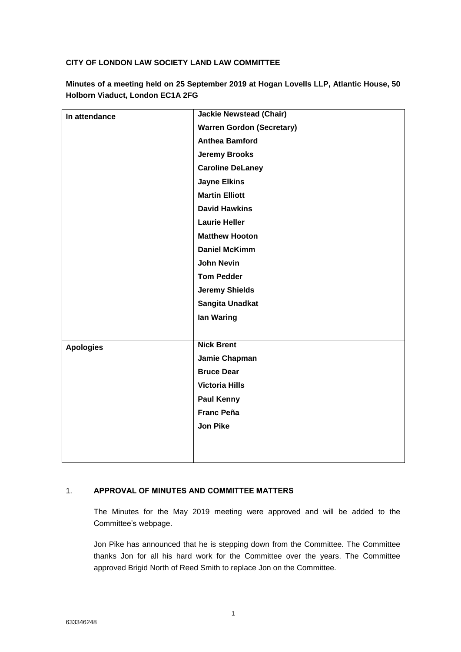# **CITY OF LONDON LAW SOCIETY LAND LAW COMMITTEE**

| In attendance    | <b>Jackie Newstead (Chair)</b>   |
|------------------|----------------------------------|
|                  | <b>Warren Gordon (Secretary)</b> |
|                  | <b>Anthea Bamford</b>            |
|                  | <b>Jeremy Brooks</b>             |
|                  | <b>Caroline DeLaney</b>          |
|                  | <b>Jayne Elkins</b>              |
|                  | <b>Martin Elliott</b>            |
|                  | <b>David Hawkins</b>             |
|                  | <b>Laurie Heller</b>             |
|                  | <b>Matthew Hooton</b>            |
|                  | <b>Daniel McKimm</b>             |
|                  | <b>John Nevin</b>                |
|                  | <b>Tom Pedder</b>                |
|                  | <b>Jeremy Shields</b>            |
|                  | Sangita Unadkat                  |
|                  | lan Waring                       |
|                  |                                  |
| <b>Apologies</b> | <b>Nick Brent</b>                |
|                  | Jamie Chapman                    |
|                  | <b>Bruce Dear</b>                |
|                  | <b>Victoria Hills</b>            |
|                  | <b>Paul Kenny</b>                |
|                  | <b>Franc Peña</b>                |
|                  | <b>Jon Pike</b>                  |
|                  |                                  |
|                  |                                  |

**Minutes of a meeting held on 25 September 2019 at Hogan Lovells LLP, Atlantic House, 50 Holborn Viaduct, London EC1A 2FG**

# 1. **APPROVAL OF MINUTES AND COMMITTEE MATTERS**

The Minutes for the May 2019 meeting were approved and will be added to the Committee's webpage.

Jon Pike has announced that he is stepping down from the Committee. The Committee thanks Jon for all his hard work for the Committee over the years. The Committee approved Brigid North of Reed Smith to replace Jon on the Committee.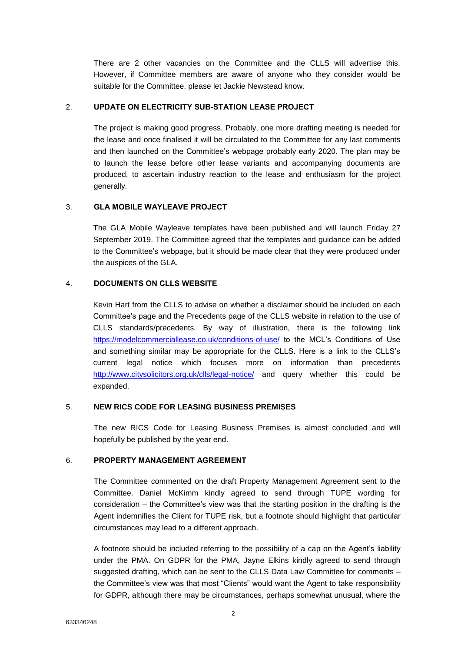There are 2 other vacancies on the Committee and the CLLS will advertise this. However, if Committee members are aware of anyone who they consider would be suitable for the Committee, please let Jackie Newstead know.

## 2. **UPDATE ON ELECTRICITY SUB-STATION LEASE PROJECT**

The project is making good progress. Probably, one more drafting meeting is needed for the lease and once finalised it will be circulated to the Committee for any last comments and then launched on the Committee's webpage probably early 2020. The plan may be to launch the lease before other lease variants and accompanying documents are produced, to ascertain industry reaction to the lease and enthusiasm for the project generally.

## 3. **GLA MOBILE WAYLEAVE PROJECT**

The GLA Mobile Wayleave templates have been published and will launch Friday 27 September 2019. The Committee agreed that the templates and guidance can be added to the Committee's webpage, but it should be made clear that they were produced under the auspices of the GLA.

## 4. **DOCUMENTS ON CLLS WEBSITE**

Kevin Hart from the CLLS to advise on whether a disclaimer should be included on each Committee's page and the Precedents page of the CLLS website in relation to the use of CLLS standards/precedents. By way of illustration, there is the following link <https://modelcommerciallease.co.uk/conditions-of-use/> to the MCL's Conditions of Use and something similar may be appropriate for the CLLS. Here is a link to the CLLS's current legal notice which focuses more on information than precedents <http://www.citysolicitors.org.uk/clls/legal-notice/> and query whether this could be expanded.

### 5. **NEW RICS CODE FOR LEASING BUSINESS PREMISES**

The new RICS Code for Leasing Business Premises is almost concluded and will hopefully be published by the year end.

### 6. **PROPERTY MANAGEMENT AGREEMENT**

The Committee commented on the draft Property Management Agreement sent to the Committee. Daniel McKimm kindly agreed to send through TUPE wording for consideration – the Committee's view was that the starting position in the drafting is the Agent indemnifies the Client for TUPE risk, but a footnote should highlight that particular circumstances may lead to a different approach.

A footnote should be included referring to the possibility of a cap on the Agent's liability under the PMA. On GDPR for the PMA, Jayne Elkins kindly agreed to send through suggested drafting, which can be sent to the CLLS Data Law Committee for comments the Committee's view was that most "Clients" would want the Agent to take responsibility for GDPR, although there may be circumstances, perhaps somewhat unusual, where the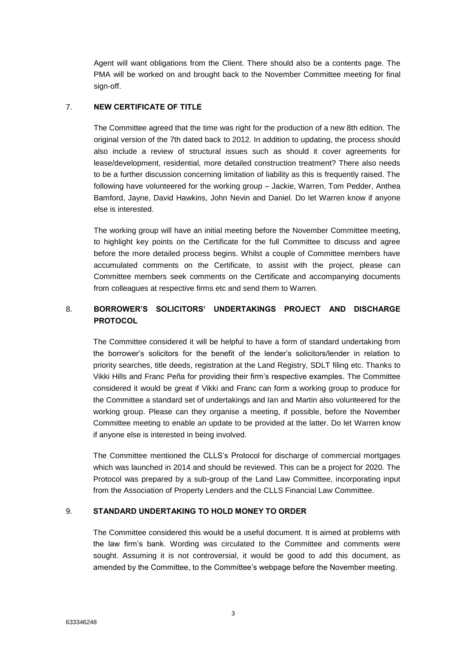Agent will want obligations from the Client. There should also be a contents page. The PMA will be worked on and brought back to the November Committee meeting for final sign-off.

# 7. **NEW CERTIFICATE OF TITLE**

The Committee agreed that the time was right for the production of a new 8th edition. The original version of the 7th dated back to 2012. In addition to updating, the process should also include a review of structural issues such as should it cover agreements for lease/development, residential, more detailed construction treatment? There also needs to be a further discussion concerning limitation of liability as this is frequently raised. The following have volunteered for the working group – Jackie, Warren, Tom Pedder, Anthea Bamford, Jayne, David Hawkins, John Nevin and Daniel. Do let Warren know if anyone else is interested.

The working group will have an initial meeting before the November Committee meeting, to highlight key points on the Certificate for the full Committee to discuss and agree before the more detailed process begins. Whilst a couple of Committee members have accumulated comments on the Certificate, to assist with the project, please can Committee members seek comments on the Certificate and accompanying documents from colleagues at respective firms etc and send them to Warren.

# 8. **BORROWER'S SOLICITORS' UNDERTAKINGS PROJECT AND DISCHARGE PROTOCOL**

The Committee considered it will be helpful to have a form of standard undertaking from the borrower's solicitors for the benefit of the lender's solicitors/lender in relation to priority searches, title deeds, registration at the Land Registry, SDLT filing etc. Thanks to Vikki Hills and Franc Peña for providing their firm's respective examples. The Committee considered it would be great if Vikki and Franc can form a working group to produce for the Committee a standard set of undertakings and Ian and Martin also volunteered for the working group. Please can they organise a meeting, if possible, before the November Committee meeting to enable an update to be provided at the latter. Do let Warren know if anyone else is interested in being involved.

The Committee mentioned the CLLS's Protocol for discharge of commercial mortgages which was launched in 2014 and should be reviewed. This can be a project for 2020. The Protocol was prepared by a sub-group of the Land Law Committee, incorporating input from the Association of Property Lenders and the CLLS Financial Law Committee.

# 9. **STANDARD UNDERTAKING TO HOLD MONEY TO ORDER**

The Committee considered this would be a useful document. It is aimed at problems with the law firm's bank. Wording was circulated to the Committee and comments were sought. Assuming it is not controversial, it would be good to add this document, as amended by the Committee, to the Committee's webpage before the November meeting.